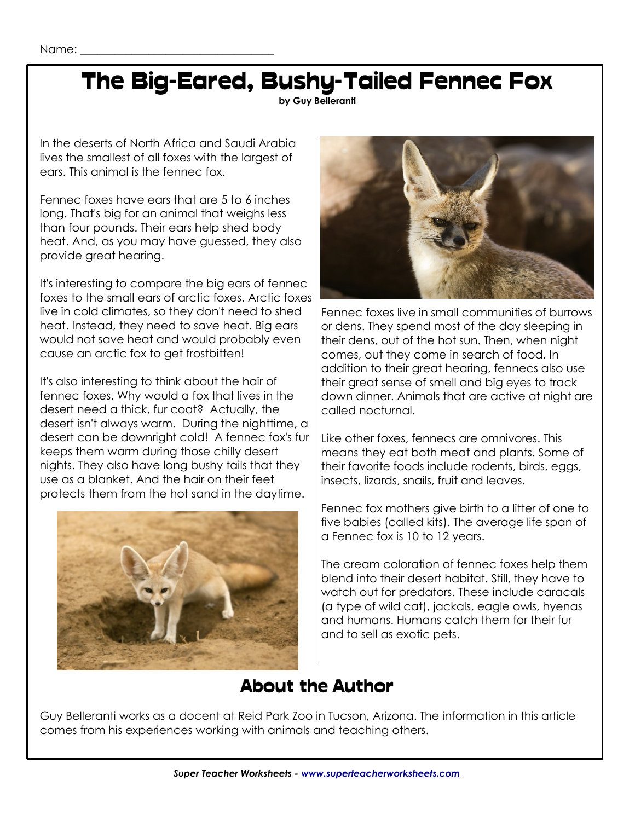### The Big-Eared, Bushy-Tailed Fennec Fox

**by Guy Belleranti**

In the deserts of North Africa and Saudi Arabia lives the smallest of all foxes with the largest of ears. This animal is the fennec fox.

Fennec foxes have ears that are 5 to 6 inches long. That's big for an animal that weighs less than four pounds. Their ears help shed body heat. And, as you may have guessed, they also provide great hearing.

It's interesting to compare the big ears of fennec foxes to the small ears of arctic foxes. Arctic foxes live in cold climates, so they don't need to shed heat. Instead, they need to *save* heat. Big ears would not save heat and would probably even cause an arctic fox to get frostbitten!

It's also interesting to think about the hair of fennec foxes. Why would a fox that lives in the desert need a thick, fur coat? Actually, the desert isn't always warm. During the nighttime, a desert can be downright cold! A fennec fox's fur keeps them warm during those chilly desert nights. They also have long bushy tails that they use as a blanket. And the hair on their feet protects them from the hot sand in the daytime.





Fennec foxes live in small communities of burrows or dens. They spend most of the day sleeping in their dens, out of the hot sun. Then, when night comes, out they come in search of food. In addition to their great hearing, fennecs also use their great sense of smell and big eyes to track down dinner. Animals that are active at night are called nocturnal.

Like other foxes, fennecs are omnivores. This means they eat both meat and plants. Some of their favorite foods include rodents, birds, eggs, insects, lizards, snails, fruit and leaves.

Fennec fox mothers give birth to a litter of one to five babies (called kits). The average life span of a Fennec fox is 10 to 12 years.

The cream coloration of fennec foxes help them blend into their desert habitat. Still, they have to watch out for predators. These include caracals (a type of wild cat), jackals, eagle owls, hyenas and humans. Humans catch them for their fur and to sell as exotic pets.

#### About the Author

Guy Belleranti works as a docent at Reid Park Zoo in Tucson, Arizona. The information in this article comes from his experiences working with animals and teaching others.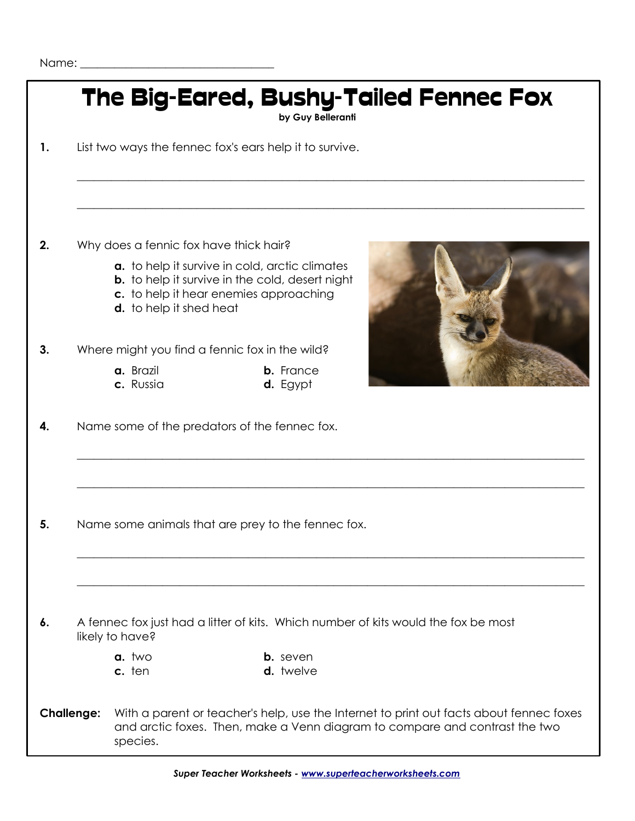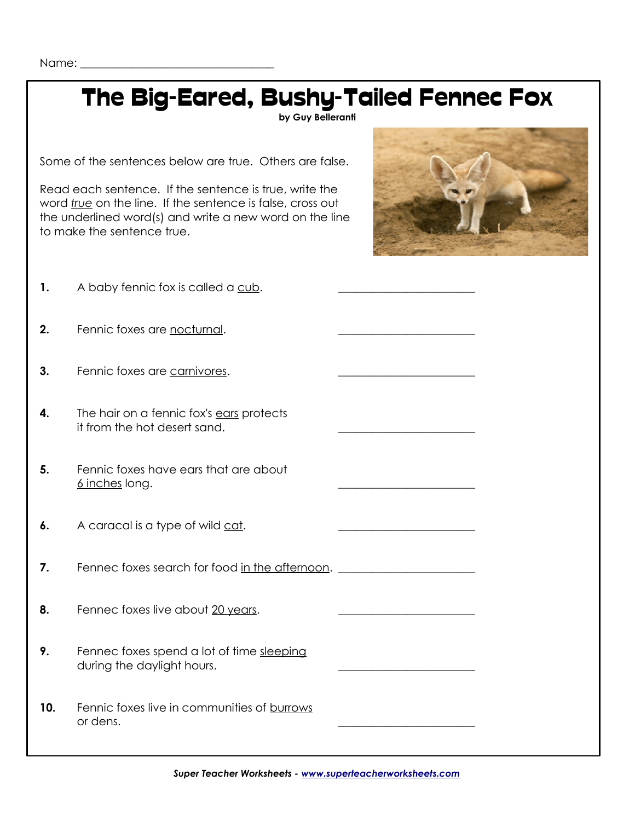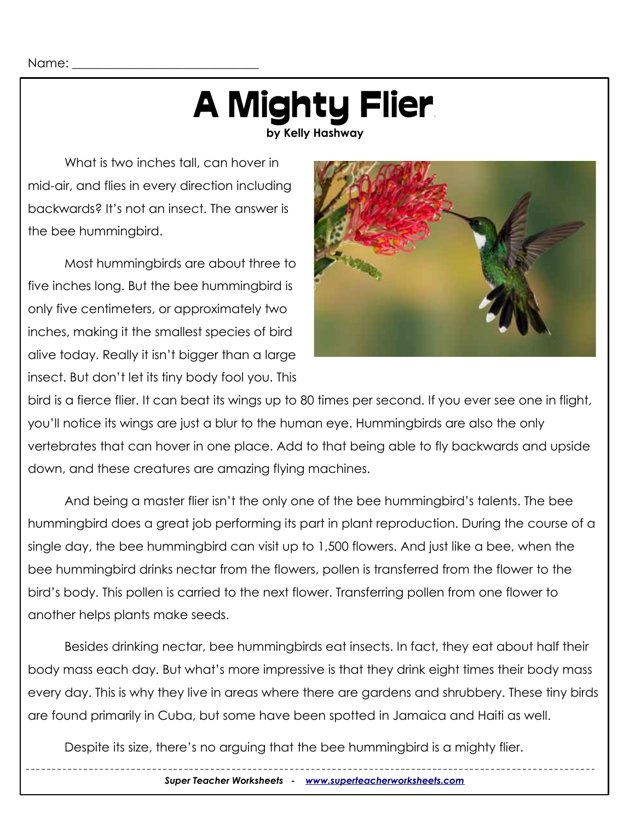# **A Mighty Flier**

**by Kelly Hashway**

What is two inches tall, can hover in mid-air, and flies in every direction including backwards? It's not an insect. The answer is the bee hummingbird.

Most hummingbirds are about three to five inches long. But the bee hummingbird is only five centimeters, or approximately two inches, making it the smallest species of bird alive today. Really it isn't bigger than a large insect. But don't let its tiny body fool you. This



bird is a fierce flier. It can beat its wings up to 80 times per second. If you ever see one in flight, you'll notice its wings are just a blur to the human eye. Hummingbirds are also the only vertebrates that can hover in one place. Add to that being able to fly backwards and upside down, and these creatures are amazing flying machines.

And being a master flier isn't the only one of the bee hummingbird's talents. The bee hummingbird does a great job performing its part in plant reproduction. During the course of a single day, the bee hummingbird can visit up to 1,500 flowers. And just like a bee, when the bee hummingbird drinks nectar from the flowers, pollen is transferred from the flower to the bird's body. This pollen is carried to the next flower. Transferring pollen from one flower to another helps plants make seeds.

Besides drinking nectar, bee hummingbirds eat insects. In fact, they eat about half their body mass each day. But what's more impressive is that they drink eight times their body mass every day. This is why they live in areas where there are gardens and shrubbery. These tiny birds are found primarily in Cuba, but some have been spotted in Jamaica and Haiti as well.

Despite its size, there's no arguing that the bee hummingbird is a mighty flier.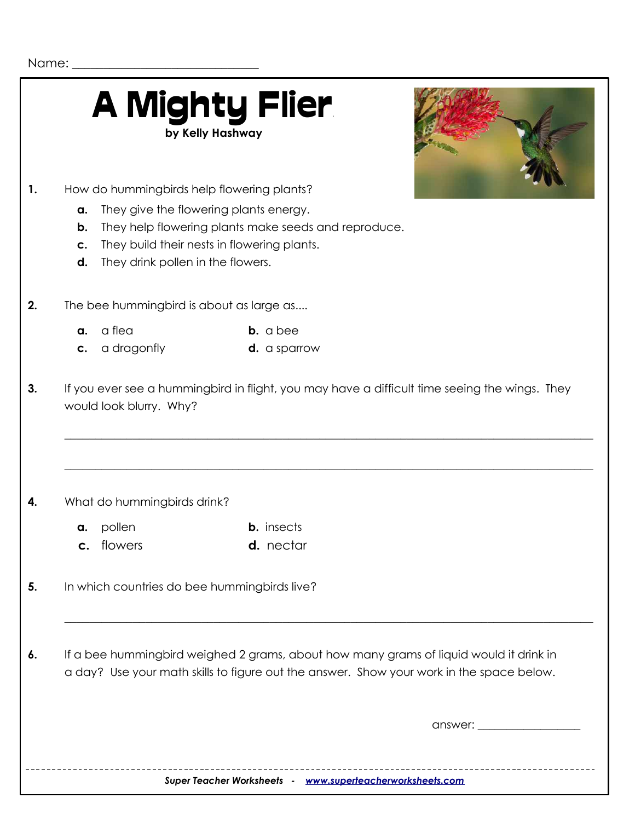|                      |                                                     | How do hummingbirds help flowering plants?                                                                                                                                         |
|----------------------|-----------------------------------------------------|------------------------------------------------------------------------------------------------------------------------------------------------------------------------------------|
| a.<br>b.<br>C.<br>d. | They drink pollen in the flowers.                   | They give the flowering plants energy.<br>They help flowering plants make seeds and reproduce.<br>They build their nests in flowering plants.                                      |
|                      | The bee hummingbird is about as large as            |                                                                                                                                                                                    |
| a.<br>C.             | a flea<br>a dragonfly                               | <b>b.</b> a bee<br><b>d.</b> a sparrow                                                                                                                                             |
|                      | would look blurry. Why?                             | If you ever see a hummingbird in flight, you may have a difficult time seeing the wings. They                                                                                      |
|                      |                                                     |                                                                                                                                                                                    |
| a.                   | What do hummingbirds drink?<br>pollen<br>c. flowers | <b>b.</b> insects<br>d. nectar                                                                                                                                                     |
|                      |                                                     | In which countries do bee hummingbirds live?                                                                                                                                       |
|                      |                                                     | If a bee hummingbird weighed 2 grams, about how many grams of liquid would it drink in<br>a day? Use your math skills to figure out the answer. Show your work in the space below. |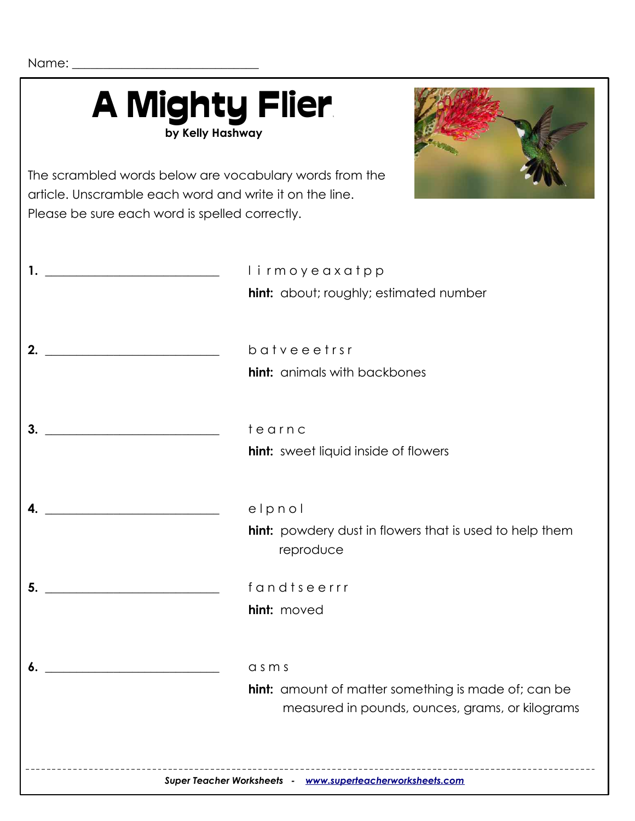Name: \_\_\_\_\_\_\_\_\_\_\_\_\_\_\_\_\_\_\_\_\_\_\_\_\_\_\_\_\_\_

|                                                    | <b>A Mighty Flier</b><br>by Kelly Hashway                                                                                                                            |
|----------------------------------------------------|----------------------------------------------------------------------------------------------------------------------------------------------------------------------|
|                                                    | The scrambled words below are vocabulary words from the<br>article. Unscramble each word and write it on the line.<br>Please be sure each word is spelled correctly. |
| <u> 1989 - Johann Barbara, martxa alemaniar a</u>  | lirmoyeaxatpp<br>hint: about; roughly; estimated number                                                                                                              |
| 2.                                                 | batveeetrsr                                                                                                                                                          |
|                                                    | <b>hint:</b> animals with backbones                                                                                                                                  |
| 3.                                                 | tearnc                                                                                                                                                               |
|                                                    | <b>hint:</b> sweet liquid inside of flowers                                                                                                                          |
|                                                    | elpnol                                                                                                                                                               |
|                                                    | <b>hint:</b> powdery dust in flowers that is used to help them<br>reproduce                                                                                          |
| 5.<br>the control of the control of the control of | fandtseerrr                                                                                                                                                          |
|                                                    | hint: moved                                                                                                                                                          |
|                                                    | $a$ s $m$ s                                                                                                                                                          |
|                                                    | <b>hint:</b> amount of matter something is made of; can be<br>measured in pounds, ounces, grams, or kilograms                                                        |
|                                                    |                                                                                                                                                                      |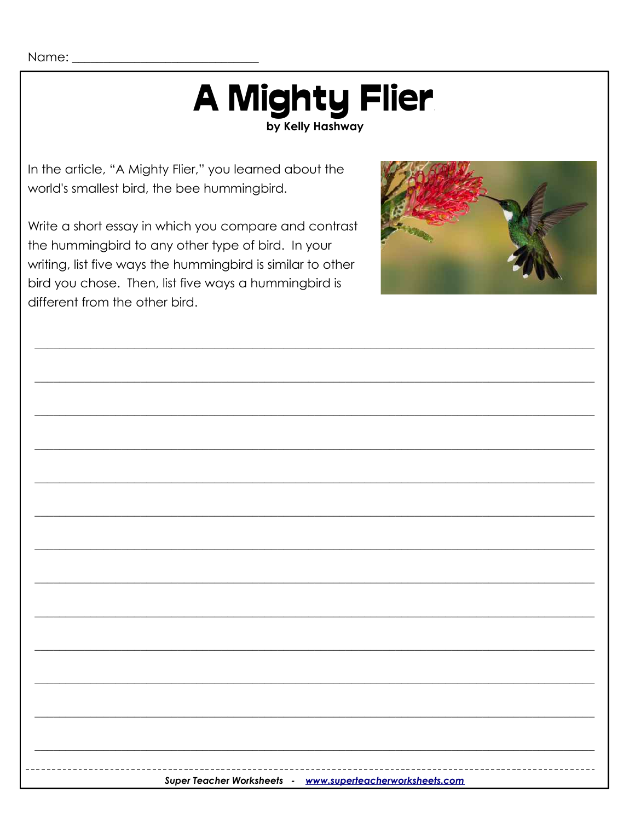### A Mighty Flier by Kelly Hashway

In the article, "A Mighty Flier," you learned about the world's smallest bird, the bee hummingbird.

Write a short essay in which you compare and contrast the hummingbird to any other type of bird. In your writing, list five ways the hummingbird is similar to other bird you chose. Then, list five ways a hummingbird is different from the other bird.



| ---------------------------<br>-------------------<br>Super Teacher Worksheets - www.superteacherworksheets.com |  |  |  |  |
|-----------------------------------------------------------------------------------------------------------------|--|--|--|--|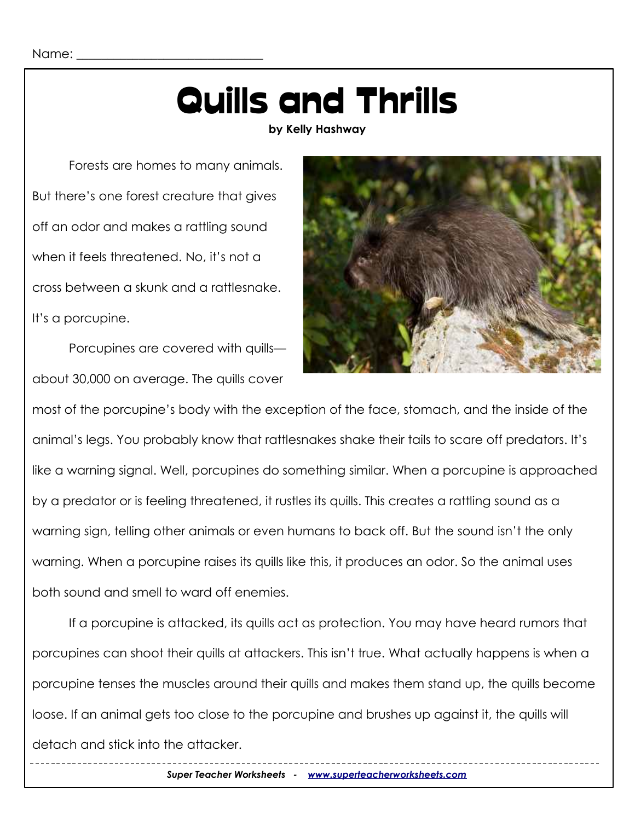### Quills and Thrills

**by Kelly Hashway**

Forests are homes to many animals. But there's one forest creature that gives off an odor and makes a rattling sound when it feels threatened. No, it's not a cross between a skunk and a rattlesnake. It's a porcupine.

Porcupines are covered with quills about 30,000 on average. The quills cover



most of the porcupine's body with the exception of the face, stomach, and the inside of the animal's legs. You probably know that rattlesnakes shake their tails to scare off predators. It's like a warning signal. Well, porcupines do something similar. When a porcupine is approached by a predator or is feeling threatened, it rustles its quills. This creates a rattling sound as a warning sign, telling other animals or even humans to back off. But the sound isn't the only warning. When a porcupine raises its quills like this, it produces an odor. So the animal uses both sound and smell to ward off enemies.

If a porcupine is attacked, its quills act as protection. You may have heard rumors that porcupines can shoot their quills at attackers. This isn't true. What actually happens is when a porcupine tenses the muscles around their quills and makes them stand up, the quills become loose. If an animal gets too close to the porcupine and brushes up against it, the quills will detach and stick into the attacker.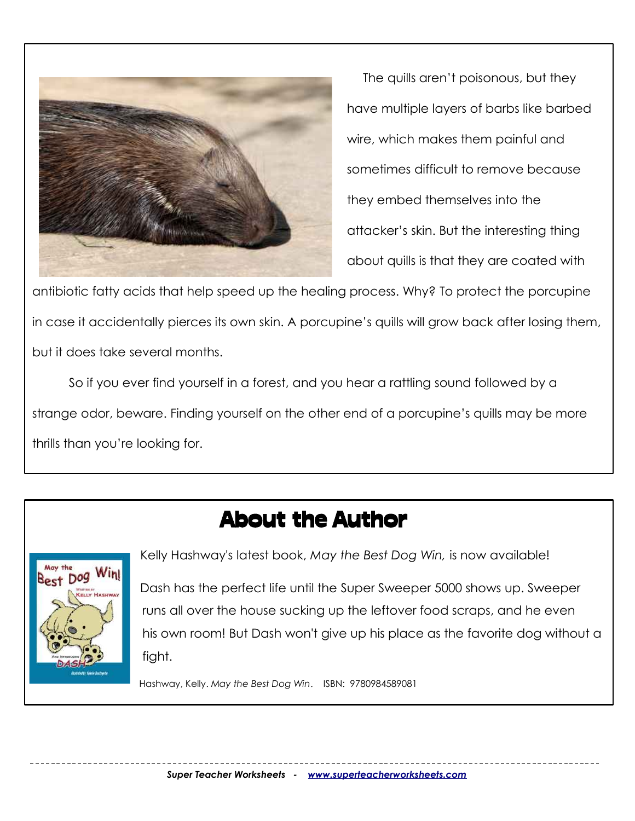

The quills aren't poisonous, but they have multiple layers of barbs like barbed wire, which makes them painful and sometimes difficult to remove because they embed themselves into the attacker's skin. But the interesting thing about quills is that they are coated with

antibiotic fatty acids that help speed up the healing process. Why? To protect the porcupine in case it accidentally pierces its own skin. A porcupine's quills will grow back after losing them, but it does take several months.

So if you ever find yourself in a forest, and you hear a rattling sound followed by a strange odor, beware. Finding yourself on the other end of a porcupine's quills may be more thrills than you're looking for.

#### About the Author



Kelly Hashway's latest book, *May the Best Dog Win,* is now available!<br>Best Dog Win! Dash has the perfect life until the Super Sweeper 5000 shows up. Sweeper runs all over the house sucking up the leftover food scraps, and he even his own room! But Dash won't give up his place as the favorite dog without a fight.

Hashway, Kelly. *May the Best Dog Win*. ISBN: 9780984589081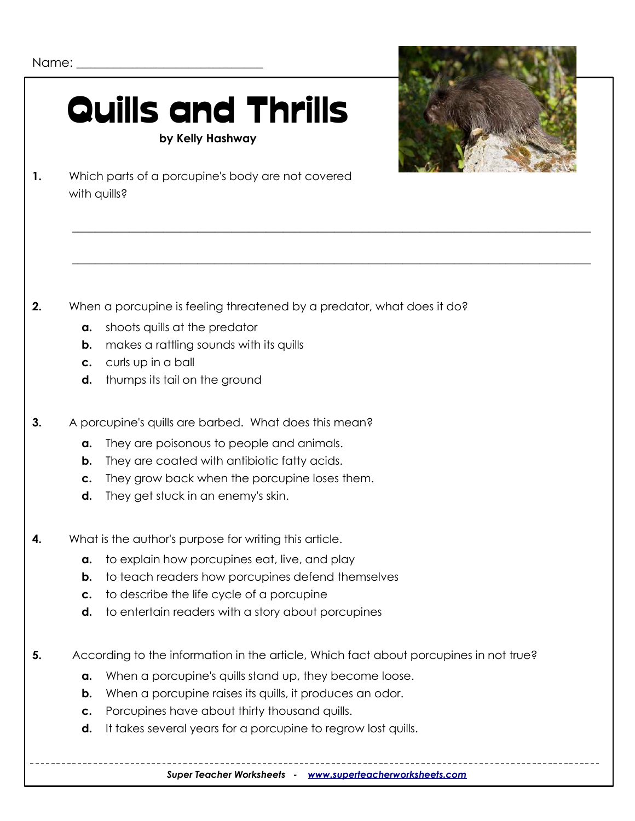### Quills and Thrills **by Kelly Hashway**



**1.** Which parts of a porcupine's body are not covered with quills?

**2.** When a porcupine is feeling threatened by a predator, what does it do?

\_\_\_\_\_\_\_\_\_\_\_\_\_\_\_\_\_\_\_\_\_\_\_\_\_\_\_\_\_\_\_\_\_\_\_\_\_\_\_\_\_\_\_\_\_\_\_\_\_\_\_\_\_\_\_\_\_\_\_\_\_\_\_\_\_\_\_\_\_\_\_\_\_\_\_\_\_\_\_\_\_\_\_\_\_\_\_\_\_\_\_

\_\_\_\_\_\_\_\_\_\_\_\_\_\_\_\_\_\_\_\_\_\_\_\_\_\_\_\_\_\_\_\_\_\_\_\_\_\_\_\_\_\_\_\_\_\_\_\_\_\_\_\_\_\_\_\_\_\_\_\_\_\_\_\_\_\_\_\_\_\_\_\_\_\_\_\_\_\_\_\_\_\_\_\_\_\_\_\_\_\_\_

- **a.** shoots quills at the predator
- **b.** makes a rattling sounds with its quills
- **c.** curls up in a ball
- **d.** thumps its tail on the ground
- **3.** A porcupine's quills are barbed. What does this mean?
	- **a.** They are poisonous to people and animals.
	- **b.** They are coated with antibiotic fatty acids.
	- **c.** They grow back when the porcupine loses them.
	- **d.** They get stuck in an enemy's skin.
- **4.** What is the author's purpose for writing this article.
	- **a.** to explain how porcupines eat, live, and play
	- **b.** to teach readers how porcupines defend themselves
	- **c.** to describe the life cycle of a porcupine
	- **d.** to entertain readers with a story about porcupines
- **5.** According to the information in the article, Which fact about porcupines in not true?
	- **a.** When a porcupine's quills stand up, they become loose.
	- **b.** When a porcupine raises its quills, it produces an odor.
	- **c.** Porcupines have about thirty thousand quills.
	- **d.** It takes several years for a porcupine to regrow lost quills.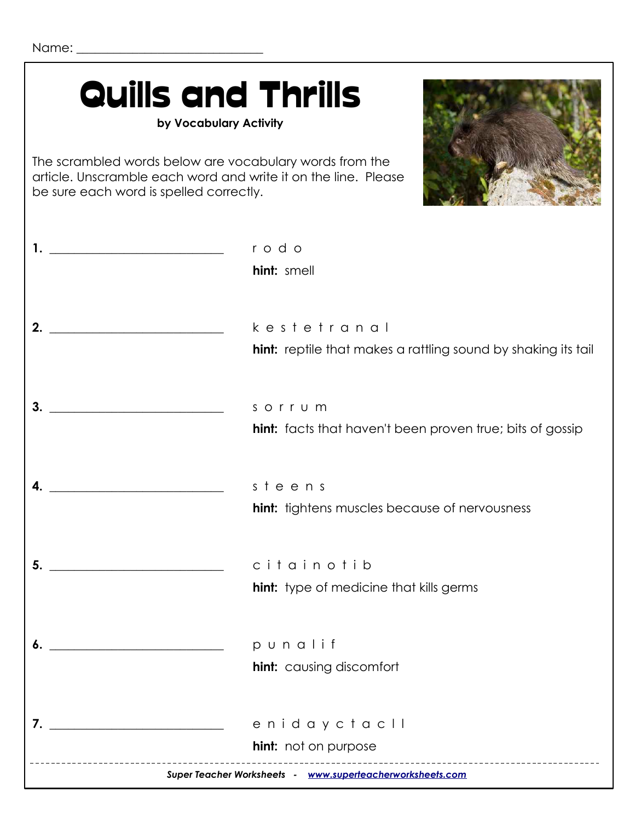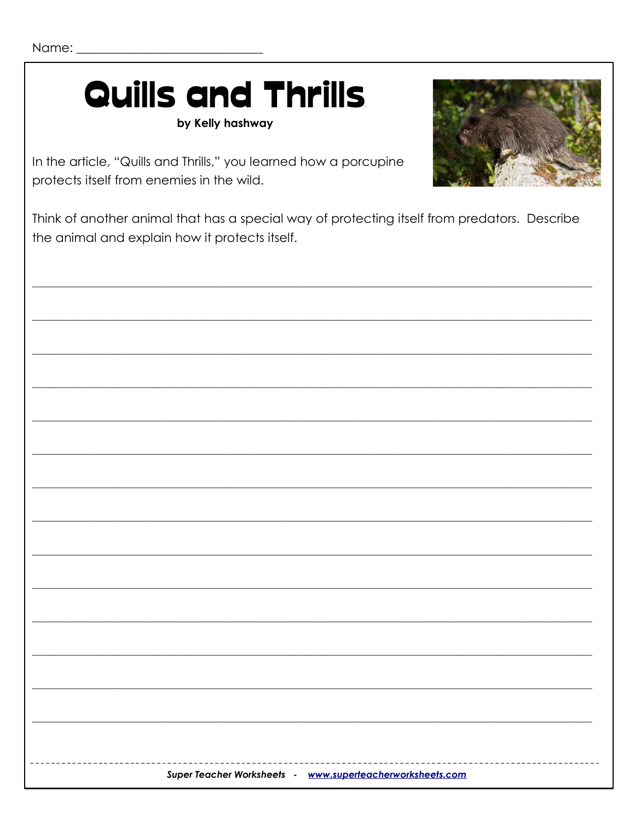## **Quills and Thrills**

by Kelly hashway



In the article, "Quills and Thrills," you learned how a porcupine protects itself from enemies in the wild.

Think of another animal that has a special way of protecting itself from predators. Describe the animal and explain how it protects itself.

|  | Super Teacher Worksheets - www.superteacherworksheets.com |
|--|-----------------------------------------------------------|
|  |                                                           |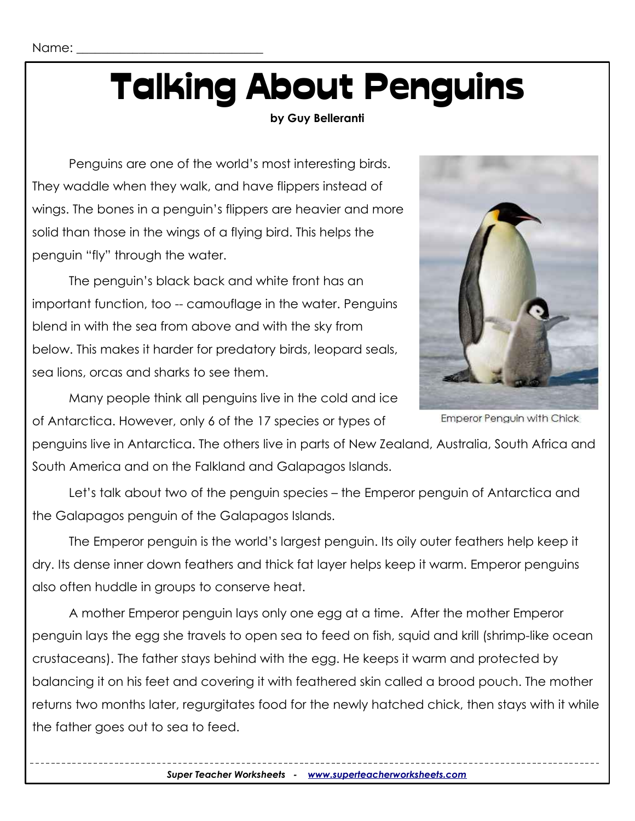## Talking About Penguins

#### **by Guy Belleranti**

Penguins are one of the world's most interesting birds. They waddle when they walk, and have flippers instead of wings. The bones in a penguin's flippers are heavier and more solid than those in the wings of a flying bird. This helps the penguin "fly" through the water.

The penguin's black back and white front has an important function, too -- camouflage in the water. Penguins blend in with the sea from above and with the sky from below. This makes it harder for predatory birds, leopard seals, sea lions, orcas and sharks to see them.



Emperor Penguin with Chick

Many people think all penguins live in the cold and ice of Antarctica. However, only 6 of the 17 species or types of

penguins live in Antarctica. The others live in parts of New Zealand, Australia, South Africa and South America and on the Falkland and Galapagos Islands.

Let's talk about two of the penguin species – the Emperor penguin of Antarctica and the Galapagos penguin of the Galapagos Islands.

The Emperor penguin is the world's largest penguin. Its oily outer feathers help keep it dry. Its dense inner down feathers and thick fat layer helps keep it warm. Emperor penguins also often huddle in groups to conserve heat.

A mother Emperor penguin lays only one egg at a time. After the mother Emperor penguin lays the egg she travels to open sea to feed on fish, squid and krill (shrimp-like ocean crustaceans). The father stays behind with the egg. He keeps it warm and protected by balancing it on his feet and covering it with feathered skin called a brood pouch. The mother returns two months later, regurgitates food for the newly hatched chick, then stays with it while the father goes out to sea to feed.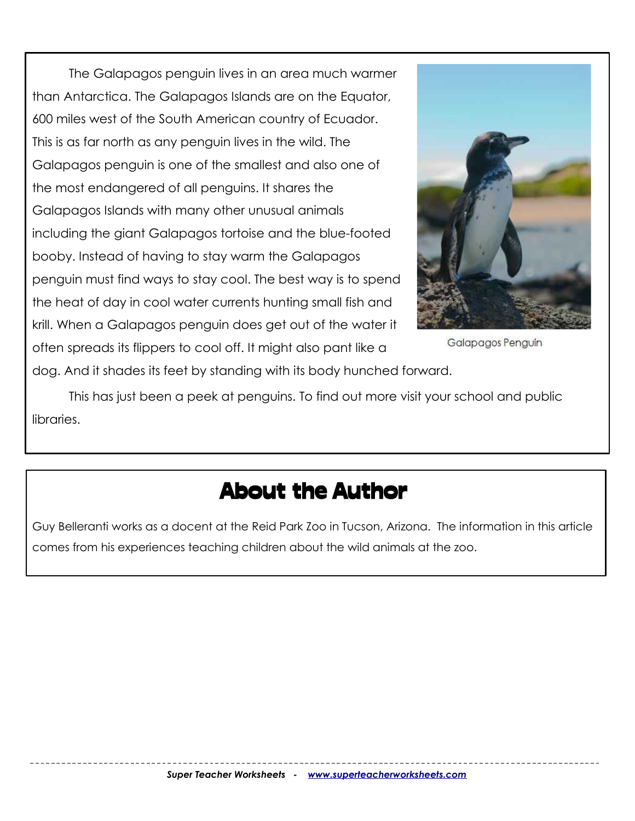The Galapagos penguin lives in an area much warmer than Antarctica. The Galapagos Islands are on the Equator, 600 miles west of the South American country of Ecuador. This is as far north as any penguin lives in the wild. The Galapagos penguin is one of the smallest and also one of the most endangered of all penguins. It shares the Galapagos Islands with many other unusual animals including the giant Galapagos tortoise and the blue-footed booby. Instead of having to stay warm the Galapagos penguin must find ways to stay cool. The best way is to spend the heat of day in cool water currents hunting small fish and krill. When a Galapagos penguin does get out of the water it often spreads its flippers to cool off. It might also pant like a



Galapagos Penguin

dog. And it shades its feet by standing with its body hunched forward.

This has just been a peek at penguins. To find out more visit your school and public libraries.

#### About the Author

Guy Belleranti works as a docent at the Reid Park Zoo in Tucson, Arizona. The information in this article comes from his experiences teaching children about the wild animals at the zoo.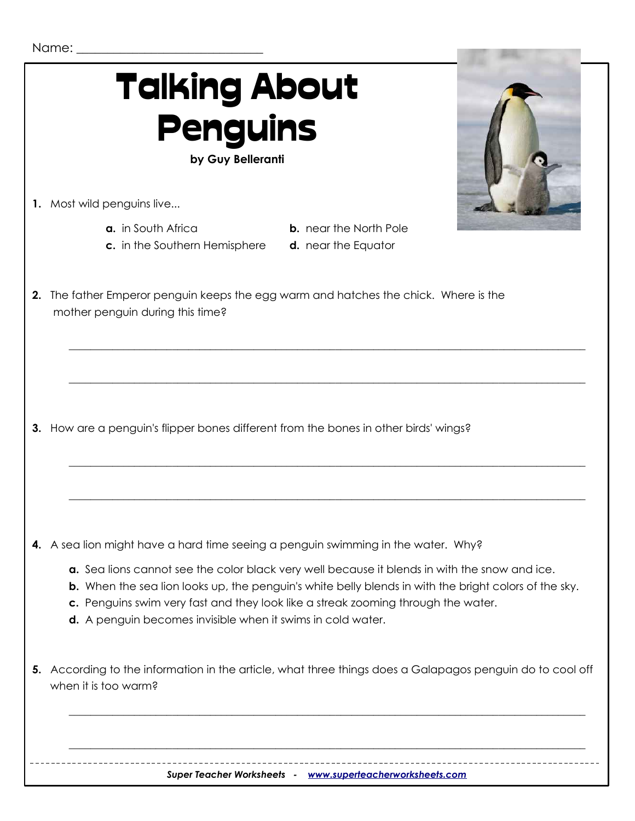

**4.** A sea lion might have a hard time seeing a penguin swimming in the water. Why?

- **a.** Sea lions cannot see the color black very well because it blends in with the snow and ice.
- **b.** When the sea lion looks up, the penguin's white belly blends in with the bright colors of the sky.

 $\_$  ,  $\_$  ,  $\_$  ,  $\_$  ,  $\_$  ,  $\_$  ,  $\_$  ,  $\_$  ,  $\_$  ,  $\_$  ,  $\_$  ,  $\_$  ,  $\_$  ,  $\_$  ,  $\_$  ,  $\_$  ,  $\_$  ,  $\_$  ,  $\_$  ,  $\_$  ,  $\_$  ,  $\_$  ,  $\_$  ,  $\_$  ,  $\_$  ,  $\_$  ,  $\_$  ,  $\_$  ,  $\_$  ,  $\_$  ,  $\_$  ,  $\_$  ,  $\_$  ,  $\_$  ,  $\_$  ,  $\_$  ,  $\_$  ,

- **c.** Penguins swim very fast and they look like a streak zooming through the water.
- **d.** A penguin becomes invisible when it swims in cold water.
- **5.** According to the information in the article, what three things does a Galapagos penguin do to cool off when it is too warm?

\_\_\_\_\_\_\_\_\_\_\_\_\_\_\_\_\_\_\_\_\_\_\_\_\_\_\_\_\_\_\_\_\_\_\_\_\_\_\_\_\_\_\_\_\_\_\_\_\_\_\_\_\_\_\_\_\_\_\_\_\_\_\_\_\_\_\_\_\_\_\_\_\_\_\_\_\_\_\_\_\_\_\_\_\_\_\_\_\_\_\_\_\_\_\_

 $\_$  ,  $\_$  ,  $\_$  ,  $\_$  ,  $\_$  ,  $\_$  ,  $\_$  ,  $\_$  ,  $\_$  ,  $\_$  ,  $\_$  ,  $\_$  ,  $\_$  ,  $\_$  ,  $\_$  ,  $\_$  ,  $\_$  ,  $\_$  ,  $\_$  ,  $\_$  ,  $\_$  ,  $\_$  ,  $\_$  ,  $\_$  ,  $\_$  ,  $\_$  ,  $\_$  ,  $\_$  ,  $\_$  ,  $\_$  ,  $\_$  ,  $\_$  ,  $\_$  ,  $\_$  ,  $\_$  ,  $\_$  ,  $\_$  ,

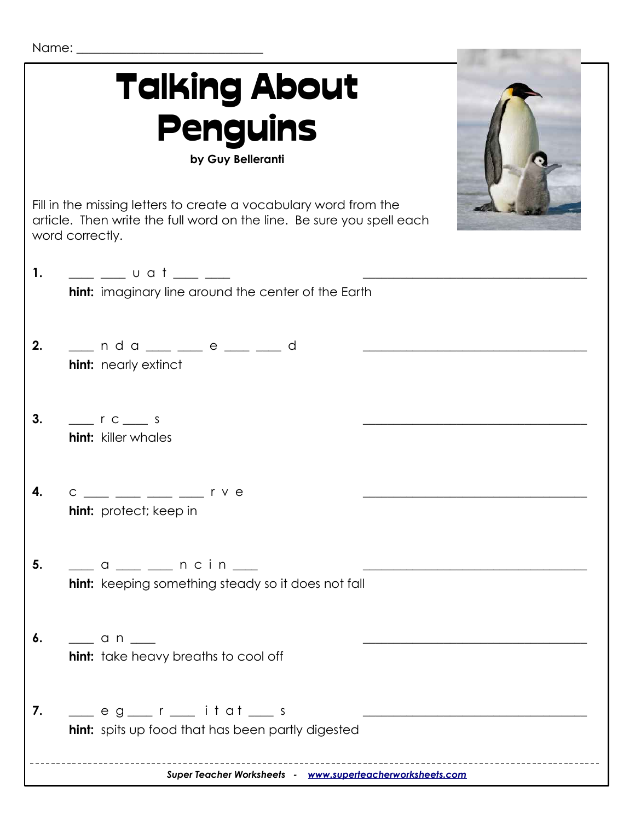| Name: |
|-------|
|       |

| <b>Talking About</b><br><b>Penguins</b><br>by Guy Belleranti                                                                                                                                                                                         |  |
|------------------------------------------------------------------------------------------------------------------------------------------------------------------------------------------------------------------------------------------------------|--|
| Fill in the missing letters to create a vocabulary word from the<br>article. Then write the full word on the line. Be sure you spell each<br>word correctly.                                                                                         |  |
| 1.<br>$\frac{1}{\sqrt{1-\frac{1}{2}}}$ u a t $\frac{1}{\sqrt{1-\frac{1}{2}}}$<br>hint: imaginary line around the center of the Earth                                                                                                                 |  |
| __ n d a __ _ _ e __ _ d<br>2.<br>hint: nearly extinct                                                                                                                                                                                               |  |
| 3.<br>$\frac{1}{\sqrt{1-\frac{1}{c}}}$ r c $\frac{1}{\sqrt{1-\frac{1}{c}}}$ s<br><b>hint:</b> killer whales                                                                                                                                          |  |
| $\frac{1}{\sqrt{1-\frac{1}{2}}}$ $\frac{1}{\sqrt{1-\frac{1}{2}}}$ $\frac{1}{\sqrt{1-\frac{1}{2}}}$ $\frac{1}{\sqrt{1-\frac{1}{2}}}$ $\frac{1}{\sqrt{1-\frac{1}{2}}}$ $\frac{1}{\sqrt{1-\frac{1}{2}}}$<br>4.<br>$\mathsf C$<br>hint: protect; keep in |  |
| 5.<br>___ a ___ __ n c i n ___<br>hint: keeping something steady so it does not fall                                                                                                                                                                 |  |
| 6.<br>$\frac{1}{\sqrt{2}}$ and $\frac{1}{\sqrt{2}}$<br><b>hint:</b> take heavy breaths to cool off                                                                                                                                                   |  |
| ____ e g___ r ___ i t a t ___ s<br>7.<br><b>hint:</b> spits up food that has been partly digested                                                                                                                                                    |  |
| Super Teacher Worksheets - www.superteacherworksheets.com                                                                                                                                                                                            |  |